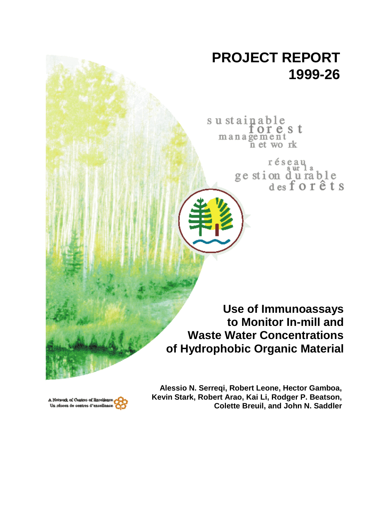# **PROJECT REPORT 1999-26**

sustainable orest management n et work

> réseau ge stion durable<br>desforêts

**Use of Immunoassays to Monitor In-mill and Waste Water Concentrations of Hydrophobic Organic Material**



**Alessio N. Serreqi, Robert Leone, Hector Gamboa, Kevin Stark, Robert Arao, Kai Li, Rodger P. Beatson, Colette Breuil, and John N. Saddler**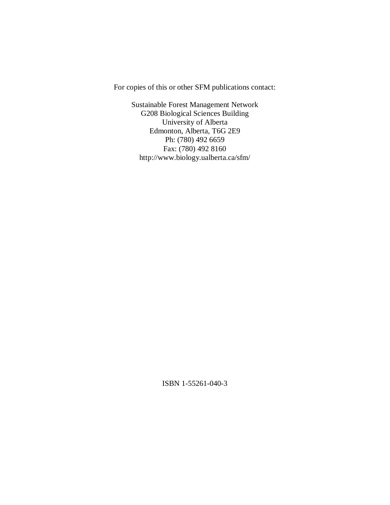For copies of this or other SFM publications contact:

Sustainable Forest Management Network G208 Biological Sciences Building University of Alberta Edmonton, Alberta, T6G 2E9 Ph: (780) 492 6659 Fax: (780) 492 8160 http://www.biology.ualberta.ca/sfm/

ISBN 1-55261-040-3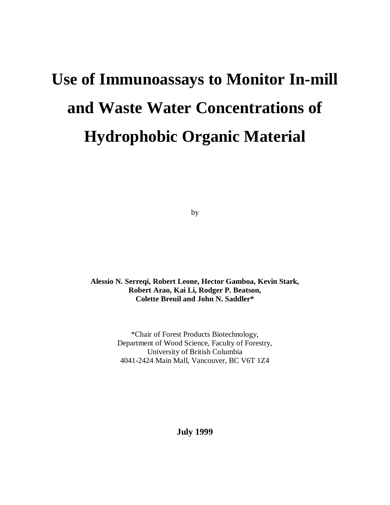# **Use of Immunoassays to Monitor In-mill and Waste Water Concentrations of Hydrophobic Organic Material**

by

**Alessio N. Serreqi, Robert Leone, Hector Gamboa, Kevin Stark, Robert Arao, Kai Li, Rodger P. Beatson, Colette Breuil and John N. Saddler\***

> \*Chair of Forest Products Biotechnology, Department of Wood Science, Faculty of Forestry, University of British Columbia 4041-2424 Main Mall, Vancouver, BC V6T 1Z4

> > **July 1999**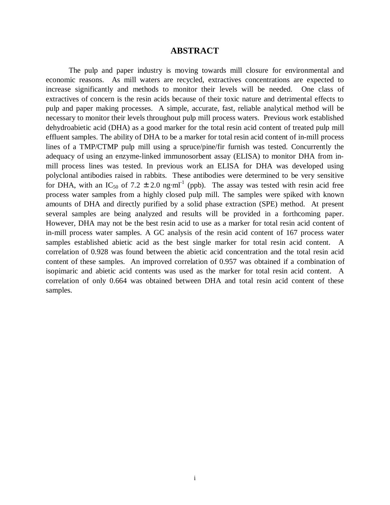# **ABSTRACT**

The pulp and paper industry is moving towards mill closure for environmental and economic reasons. As mill waters are recycled, extractives concentrations are expected to increase significantly and methods to monitor their levels will be needed. One class of extractives of concern is the resin acids because of their toxic nature and detrimental effects to pulp and paper making processes. A simple, accurate, fast, reliable analytical method will be necessary to monitor their levels throughout pulp mill process waters. Previous work established dehydroabietic acid (DHA) as a good marker for the total resin acid content of treated pulp mill effluent samples. The ability of DHA to be a marker for total resin acid content of in-mill process lines of a TMP/CTMP pulp mill using a spruce/pine/fir furnish was tested. Concurrently the adequacy of using an enzyme-linked immunosorbent assay (ELISA) to monitor DHA from inmill process lines was tested. In previous work an ELISA for DHA was developed using polyclonal antibodies raised in rabbits. These antibodies were determined to be very sensitive for DHA, with an IC<sub>50</sub> of 7.2  $\pm$  2.0 ng·ml<sup>-1</sup> (ppb). The assay was tested with resin acid free process water samples from a highly closed pulp mill. The samples were spiked with known amounts of DHA and directly purified by a solid phase extraction (SPE) method. At present several samples are being analyzed and results will be provided in a forthcoming paper. However, DHA may not be the best resin acid to use as a marker for total resin acid content of in-mill process water samples. A GC analysis of the resin acid content of 167 process water samples established abietic acid as the best single marker for total resin acid content. A correlation of 0.928 was found between the abietic acid concentration and the total resin acid content of these samples. An improved correlation of 0.957 was obtained if a combination of isopimaric and abietic acid contents was used as the marker for total resin acid content. A correlation of only 0.664 was obtained between DHA and total resin acid content of these samples.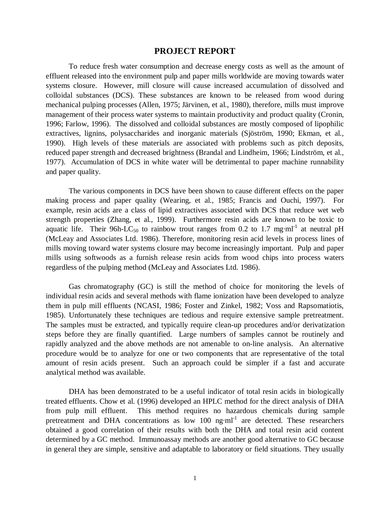#### **PROJECT REPORT**

To reduce fresh water consumption and decrease energy costs as well as the amount of effluent released into the environment pulp and paper mills worldwide are moving towards water systems closure. However, mill closure will cause increased accumulation of dissolved and colloidal substances (DCS). These substances are known to be released from wood during mechanical pulping processes (Allen, 1975; Järvinen, et al.*,* 1980), therefore, mills must improve management of their process water systems to maintain productivity and product quality (Cronin, 1996; Farlow, 1996). The dissolved and colloidal substances are mostly composed of lipophilic extractives, lignins, polysaccharides and inorganic materials (Sjöström, 1990; Ekman, et al.*,* 1990). High levels of these materials are associated with problems such as pitch deposits, reduced paper strength and decreased brightness (Brandal and Lindheim, 1966; Lindström, et al.*,* 1977). Accumulation of DCS in white water will be detrimental to paper machine runnability and paper quality.

The various components in DCS have been shown to cause different effects on the paper making process and paper quality (Wearing, et al.*,* 1985; Francis and Ouchi, 1997). For example, resin acids are a class of lipid extractives associated with DCS that reduce wet web strength properties (Zhang, et al.*,* 1999). Furthermore resin acids are known to be toxic to aquatic life. Their 96h-LC<sub>50</sub> to rainbow trout ranges from 0.2 to 1.7 mg·ml<sup>-1</sup> at neutral pH (McLeay and Associates Ltd. 1986). Therefore, monitoring resin acid levels in process lines of mills moving toward water systems closure may become increasingly important. Pulp and paper mills using softwoods as a furnish release resin acids from wood chips into process waters regardless of the pulping method (McLeay and Associates Ltd. 1986).

Gas chromatography (GC) is still the method of choice for monitoring the levels of individual resin acids and several methods with flame ionization have been developed to analyze them in pulp mill effluents (NCASI, 1986; Foster and Zinkel, 1982; Voss and Rapsomatiotis, 1985). Unfortunately these techniques are tedious and require extensive sample pretreatment. The samples must be extracted, and typically require clean-up procedures and/or derivatization steps before they are finally quantified. Large numbers of samples cannot be routinely and rapidly analyzed and the above methods are not amenable to on-line analysis. An alternative procedure would be to analyze for one or two components that are representative of the total amount of resin acids present. Such an approach could be simpler if a fast and accurate analytical method was available.

DHA has been demonstrated to be a useful indicator of total resin acids in biologically treated effluents. Chow et al. (1996) developed an HPLC method for the direct analysis of DHA from pulp mill effluent. This method requires no hazardous chemicals during sample pretreatment and DHA concentrations as low 100  $ng·ml^{-1}$  are detected. These researchers obtained a good correlation of their results with both the DHA and total resin acid content determined by a GC method. Immunoassay methods are another good alternative to GC because in general they are simple, sensitive and adaptable to laboratory or field situations. They usually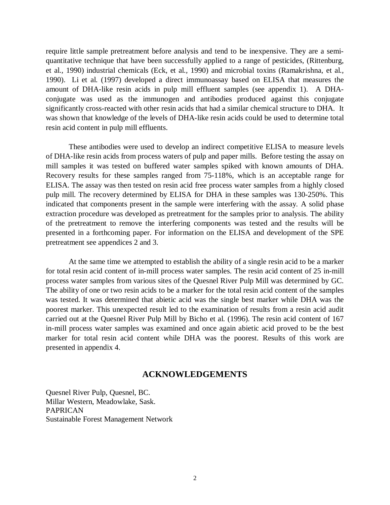require little sample pretreatment before analysis and tend to be inexpensive. They are a semiquantitative technique that have been successfully applied to a range of pesticides, (Rittenburg, et al.*,* 1990) industrial chemicals (Eck, et al.*,* 1990) and microbial toxins (Ramakrishna, et al.*,* 1990). Li et al. (1997) developed a direct immunoassay based on ELISA that measures the amount of DHA-like resin acids in pulp mill effluent samples (see appendix 1). A DHAconjugate was used as the immunogen and antibodies produced against this conjugate significantly cross-reacted with other resin acids that had a similar chemical structure to DHA. It was shown that knowledge of the levels of DHA-like resin acids could be used to determine total resin acid content in pulp mill effluents.

These antibodies were used to develop an indirect competitive ELISA to measure levels of DHA-like resin acids from process waters of pulp and paper mills. Before testing the assay on mill samples it was tested on buffered water samples spiked with known amounts of DHA. Recovery results for these samples ranged from 75-118%, which is an acceptable range for ELISA. The assay was then tested on resin acid free process water samples from a highly closed pulp mill. The recovery determined by ELISA for DHA in these samples was 130-250%. This indicated that components present in the sample were interfering with the assay. A solid phase extraction procedure was developed as pretreatment for the samples prior to analysis. The ability of the pretreatment to remove the interfering components was tested and the results will be presented in a forthcoming paper. For information on the ELISA and development of the SPE pretreatment see appendices 2 and 3.

At the same time we attempted to establish the ability of a single resin acid to be a marker for total resin acid content of in-mill process water samples. The resin acid content of 25 in-mill process water samples from various sites of the Quesnel River Pulp Mill was determined by GC. The ability of one or two resin acids to be a marker for the total resin acid content of the samples was tested. It was determined that abietic acid was the single best marker while DHA was the poorest marker. This unexpected result led to the examination of results from a resin acid audit carried out at the Quesnel River Pulp Mill by Bicho et al. (1996). The resin acid content of 167 in-mill process water samples was examined and once again abietic acid proved to be the best marker for total resin acid content while DHA was the poorest. Results of this work are presented in appendix 4.

# **ACKNOWLEDGEMENTS**

Quesnel River Pulp, Quesnel, BC. Millar Western, Meadowlake, Sask. PAPRICAN Sustainable Forest Management Network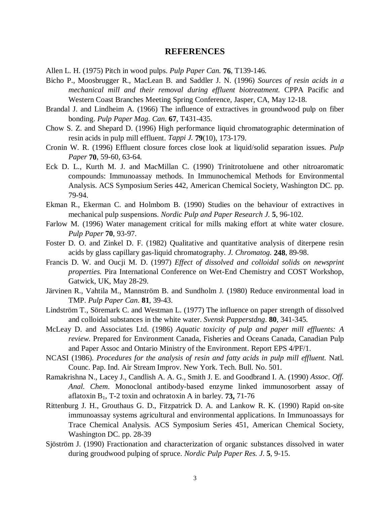#### **REFERENCES**

Allen L. H. (1975) Pitch in wood pulps. *Pulp Paper Can.* **76**, T139-146.

- Bicho P., Moosbrugger R., MacLean B. and Saddler J. N. (1996) *Sources of resin acids in a mechanical mill and their removal during effluent biotreatment.* CPPA Pacific and Western Coast Branches Meeting Spring Conference, Jasper, CA, May 12-18.
- Brandal J. and Lindheim A. (1966) The influence of extractives in groundwood pulp on fiber bonding. *Pulp Paper Mag. Can.* **67**, T431-435.
- Chow S. Z. and Shepard D. (1996) High performance liquid chromatographic determination of resin acids in pulp mill effluent. *Tappi J.* **79**(10), 173-179.
- Cronin W. R. (1996) Effluent closure forces close look at liquid/solid separation issues. *Pulp Paper* **70**, 59-60, 63-64.
- Eck D. L., Kurth M. J. and MacMillan C. (1990) Trinitrotoluene and other nitroaromatic compounds: Immunoassay methods. In Immunochemical Methods for Environmental Analysis. ACS Symposium Series 442, American Chemical Society, Washington DC. pp. 79-94.
- Ekman R., Ekerman C. and Holmbom B. (1990) Studies on the behaviour of extractives in mechanical pulp suspensions. *Nordic Pulp and Paper Research J.* **5**, 96-102.
- Farlow M. (1996) Water management critical for mills making effort at white water closure. *Pulp Paper* **70**, 93-97.
- Foster D. O. and Zinkel D. F. (1982) Qualitative and quantitative analysis of diterpene resin acids by glass capillary gas-liquid chromatography. *J. Chromatog.* **248**, 89-98.
- Francis D. W. and Oucji M. D. (1997) *Effect of dissolved and colloidal solids on newsprint properties.* Pira International Conference on Wet-End Chemistry and COST Workshop, Gatwick, UK, May 28-29.
- Järvinen R., Vahtila M., Mannström B. and Sundholm J*.* (1980) Reduce environmental load in TMP. *Pulp Paper Can*. **81**, 39-43.
- Lindström T., Söremark C. and Westman L. (1977) The influence on paper strength of dissolved and colloidal substances in the white water. *Svensk Papperstdng*. **80**, 341-345.
- McLeay D. and Associates Ltd. (1986) *Aquatic toxicity of pulp and paper mill effluents: A review*. Prepared for Environment Canada, Fisheries and Oceans Canada, Canadian Pulp and Paper Assoc and Ontario Ministry of the Environment. Report EPS 4/PF/1.
- NCASI (1986). *Procedures for the analysis of resin and fatty acids in pulp mill effluent*. Natl. Counc. Pap. Ind. Air Stream Improv. New York. Tech. Bull. No. 501.
- Ramakrishna N., Lacey J., Candlish A. A. G., Smith J. E. and Goodbrand I. A. (1990) *Assoc*. *Off. Anal. Chem*. Monoclonal antibody-based enzyme linked immunosorbent assay of aflatoxin B1, T-2 toxin and ochratoxin A in barley. **73,** 71-76
- Rittenburg J. H., Grouthaus G. D., Fitzpatrick D. A. and Lankow R. K. (1990) Rapid on-site immunoassay systems agricultural and environmental applications. In Immunoassays for Trace Chemical Analysis. ACS Symposium Series 451, American Chemical Society, Washington DC. pp. 28-39
- Sjöström J. (1990) Fractionation and characterization of organic substances dissolved in water during groudwood pulping of spruce. *Nordic Pulp Paper Res. J*. **5**, 9-15.